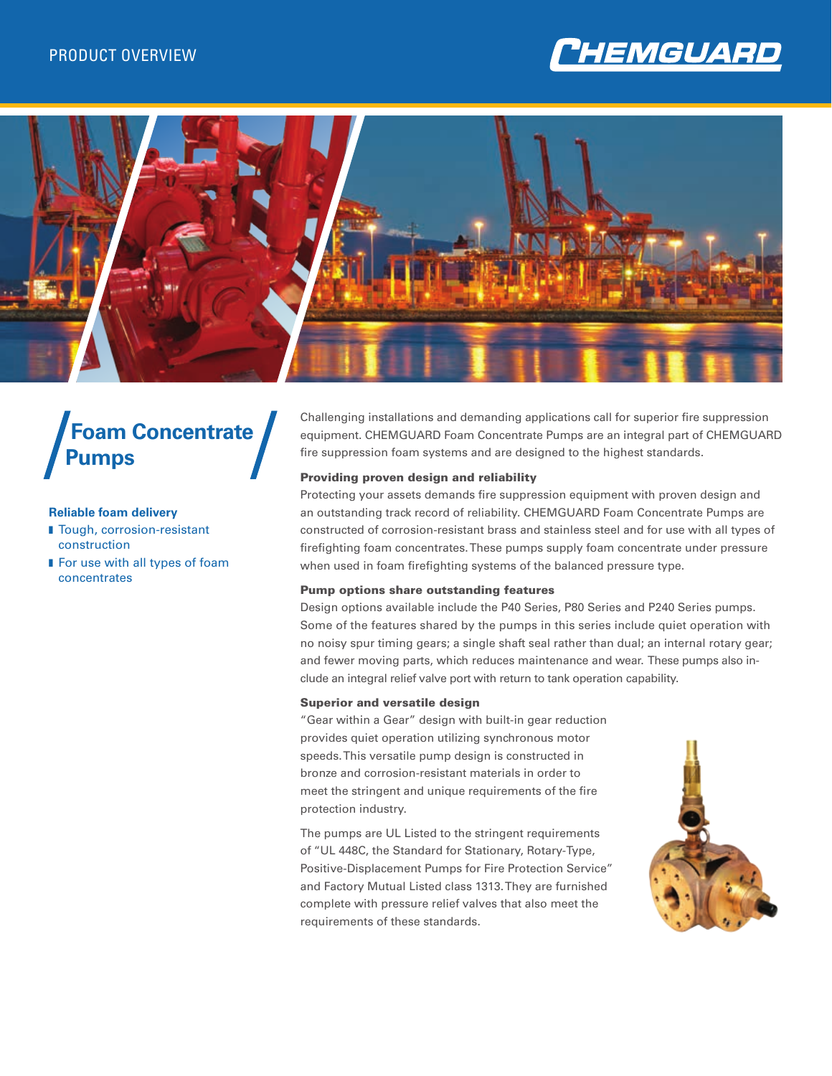



# **Foam Concentrate Pumps**

#### **Reliable foam delivery**

- Tough, corrosion-resistant construction
- **For use with all types of foam** concentrates

Challenging installations and demanding applications call for superior fire suppression equipment. CHEMGUARD Foam Concentrate Pumps are an integral part of CHEMGUARD fire suppression foam systems and are designed to the highest standards.

#### Providing proven design and reliability

Protecting your assets demands fire suppression equipment with proven design and an outstanding track record of reliability. CHEMGUARD Foam Concentrate Pumps are constructed of corrosion-resistant brass and stainless steel and for use with all types of firefighting foam concentrates. These pumps supply foam concentrate under pressure when used in foam firefighting systems of the balanced pressure type.

#### Pump options share outstanding features

Design options available include the P40 Series, P80 Series and P240 Series pumps. Some of the features shared by the pumps in this series include quiet operation with no noisy spur timing gears; a single shaft seal rather than dual; an internal rotary gear; and fewer moving parts, which reduces maintenance and wear. These pumps also include an integral relief valve port with return to tank operation capability.

#### Superior and versatile design

"Gear within a Gear" design with built-in gear reduction provides quiet operation utilizing synchronous motor speeds. This versatile pump design is constructed in bronze and corrosion-resistant materials in order to meet the stringent and unique requirements of the fire protection industry.

The pumps are UL Listed to the stringent requirements of "UL 448C, the Standard for Stationary, Rotary-Type, Positive-Displacement Pumps for Fire Protection Service" and Factory Mutual Listed class 1313. They are furnished complete with pressure relief valves that also meet the requirements of these standards.